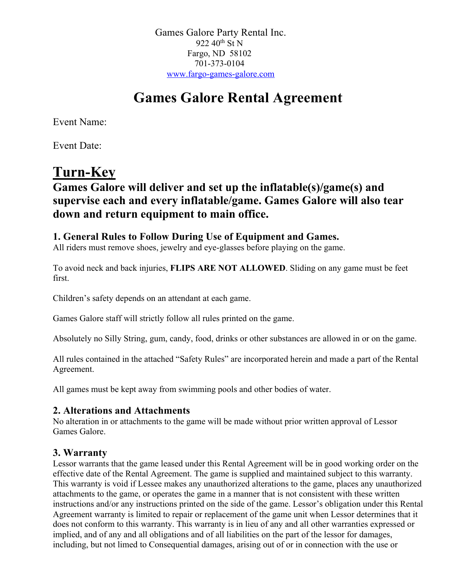Games Galore Party Rental Inc. 922  $40^{th}$  St N Fargo, ND 58102 701-373-0104 www.fargo-games-galore.com

# **Games Galore Rental Agreement**

Event Name:

Event Date:

# **Turn-Key**

## **Games Galore will deliver and set up the inflatable(s)/game(s) and supervise each and every inflatable/game. Games Galore will also tear down and return equipment to main office.**

### **1. General Rules to Follow During Use of Equipment and Games.**

All riders must remove shoes, jewelry and eye-glasses before playing on the game.

To avoid neck and back injuries, **FLIPS ARE NOT ALLOWED**. Sliding on any game must be feet first.

Children's safety depends on an attendant at each game.

Games Galore staff will strictly follow all rules printed on the game.

Absolutely no Silly String, gum, candy, food, drinks or other substances are allowed in or on the game.

All rules contained in the attached "Safety Rules" are incorporated herein and made a part of the Rental Agreement.

All games must be kept away from swimming pools and other bodies of water.

#### **2. Alterations and Attachments**

No alteration in or attachments to the game will be made without prior written approval of Lessor Games Galore.

### **3. Warranty**

Lessor warrants that the game leased under this Rental Agreement will be in good working order on the effective date of the Rental Agreement. The game is supplied and maintained subject to this warranty. This warranty is void if Lessee makes any unauthorized alterations to the game, places any unauthorized attachments to the game, or operates the game in a manner that is not consistent with these written instructions and/or any instructions printed on the side of the game. Lessor's obligation under this Rental Agreement warranty is limited to repair or replacement of the game unit when Lessor determines that it does not conform to this warranty. This warranty is in lieu of any and all other warranties expressed or implied, and of any and all obligations and of all liabilities on the part of the lessor for damages, including, but not limed to Consequential damages, arising out of or in connection with the use or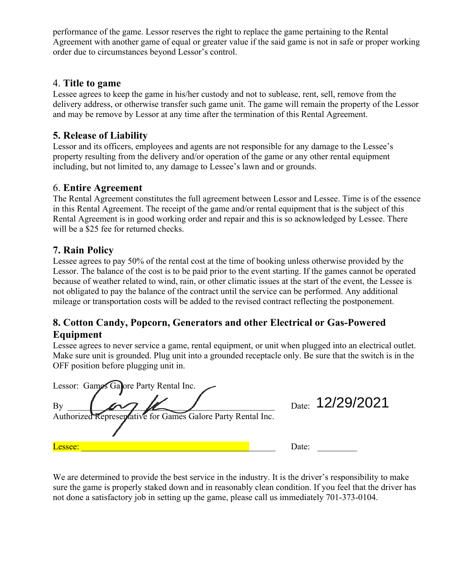performance of the game. Lessor reserves the right to replace the game pertaining to the Rental Agreement with another game of equal or greater value if the said game is not in safe or proper working order due to circumstances beyond Lessor's control.

#### 4. **Title to game**

Lessee agrees to keep the game in his/her custody and not to sublease, rent, sell, remove from the delivery address, or otherwise transfer such game unit. The game will remain the property of the Lessor and may be remove by Lessor at any time after the termination of this Rental Agreement.

#### **5. Release of Liability**

Lessor and its officers, employees and agents are not responsible for any damage to the Lessee's property resulting from the delivery and/or operation of the game or any other rental equipment including, but not limited to, any damage to Lessee's lawn and or grounds.

#### 6. **Entire Agreement**

The Rental Agreement constitutes the full agreement between Lessor and Lessee. Time is of the essence in this Rental Agreement. The receipt of the game and/or rental equipment that is the subject of this Rental Agreement is in good working order and repair and this is so acknowledged by Lessee. There will be a \$25 fee for returned checks.

#### **7. Rain Policy**

Lessee agrees to pay 50% of the rental cost at the time of booking unless otherwise provided by the Lessor. The balance of the cost is to be paid prior to the event starting. If the games cannot be operated because of weather related to wind, rain, or other climatic issues at the start of the event, the Lessee is not obligated to pay the balance of the contract until the service can be performed. Any additional mileage or transportation costs will be added to the revised contract reflecting the postponement.

#### **8. Cotton Candy, Popcorn, Generators and other Electrical or Gas-Powered Equipment**

Lessee agrees to never service a game, rental equipment, or unit when plugged into an electrical outlet. Make sure unit is grounded. Plug unit into a grounded receptacle only. Be sure that the switch is in the OFF position before plugging unit in.

| Lessor: Games Galore Party Rental Inc.<br>By<br>Authorized Representative for Games Galore Party Rental Inc. |       | Date: 12/29/2021 |
|--------------------------------------------------------------------------------------------------------------|-------|------------------|
| Lessee:                                                                                                      | Date: |                  |

We are determined to provide the best service in the industry. It is the driver's responsibility to make sure the game is properly staked down and in reasonably clean condition. If you feel that the driver has not done a satisfactory job in setting up the game, please call us immediately 701-373-0104.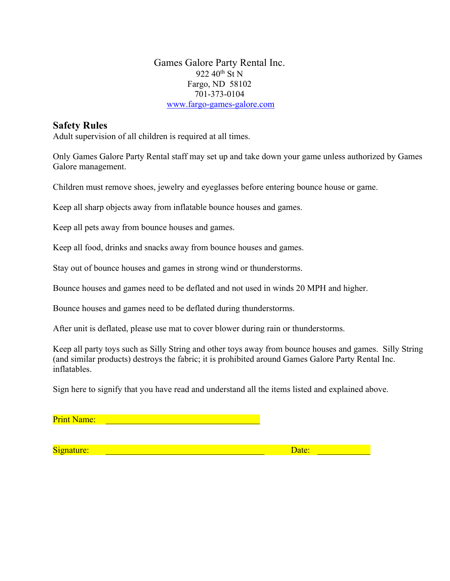Games Galore Party Rental Inc. 922 40<sup>th</sup> St N Fargo, ND 58102 701-373-0104 www.fargo-games-galore.com

#### **Safety Rules**

Adult supervision of all children is required at all times.

Only Games Galore Party Rental staff may set up and take down your game unless authorized by Games Galore management.

Children must remove shoes, jewelry and eyeglasses before entering bounce house or game.

Keep all sharp objects away from inflatable bounce houses and games.

Keep all pets away from bounce houses and games.

Keep all food, drinks and snacks away from bounce houses and games.

Stay out of bounce houses and games in strong wind or thunderstorms.

Bounce houses and games need to be deflated and not used in winds 20 MPH and higher.

Bounce houses and games need to be deflated during thunderstorms.

After unit is deflated, please use mat to cover blower during rain or thunderstorms.

Keep all party toys such as Silly String and other toys away from bounce houses and games. Silly String (and similar products) destroys the fabric; it is prohibited around Games Galore Party Rental Inc. inflatables.

Sign here to signify that you have read and understand all the items listed and explained above.

Print Name:

Signature: \_\_\_\_\_\_\_\_\_\_\_\_\_\_\_\_\_\_\_\_\_\_\_\_\_\_\_\_\_\_\_\_\_\_\_\_ Date: \_\_\_\_\_\_\_\_\_\_\_\_